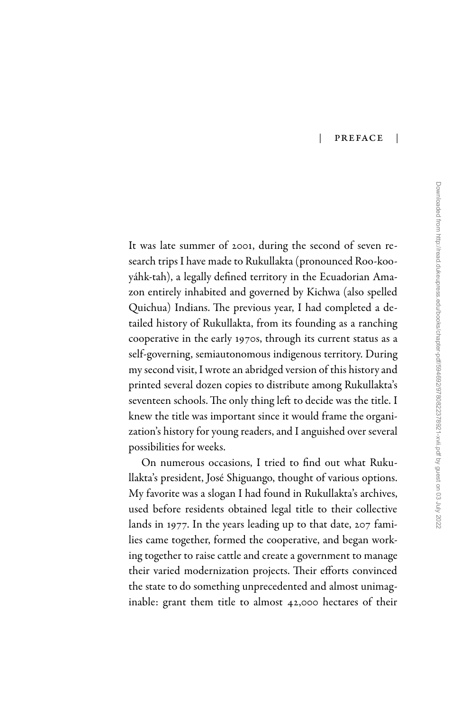## PREFACE |

It was late summer of 2001, during the second of seven research trips I have made to Rukullakta (pronounced Roo-kooyáhk-tah), a legally defined territory in the Ecuadorian Amazon entirely inhabited and governed by Kichwa (also spelled Quichua) Indians. The previous year, I had completed a detailed history of Rukullakta, from its founding as a ranching cooperative in the early 1970s, through its current status as a self-governing, semiautonomous indigenous territory. During my second visit, I wrote an abridged version of this history and printed several dozen copies to distribute among Rukullakta's seventeen schools. The only thing left to decide was the title. I knew the title was important since it would frame the organization's history for young readers, and I anguished over several possibilities for weeks.

On numerous occasions, I tried to find out what Rukullakta's president, José Shiguango, thought of various options. My favorite was a slogan I had found in Rukullakta's archives, used before residents obtained legal title to their collective lands in 1977. In the years leading up to that date, 207 families came together, formed the cooperative, and began working together to raise cattle and create a government to manage their varied modernization projects. Their efforts convinced the state to do something unprecedented and almost unimaginable: grant them title to almost 42,000 hectares of their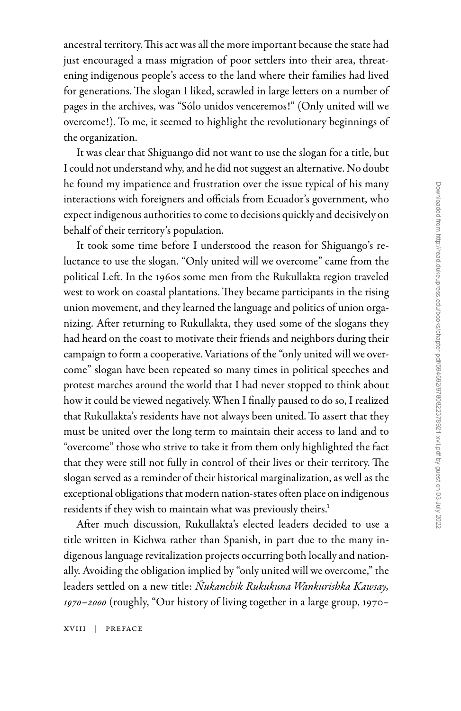ancestral territory. This act was all the more important because the state had just encouraged a mass migration of poor settlers into their area, threatening indigenous people's access to the land where their families had lived for generations. The slogan I liked, scrawled in large letters on a number of pages in the archives, was "Sólo unidos venceremos!" (Only united will we overcome!). To me, it seemed to highlight the revolutionary beginnings of the organization.

It was clear that Shiguango did not want to use the slogan for a title, but I could not understand why, and he did not suggest an alternative. No doubt he found my impatience and frustration over the issue typical of his many interactions with foreigners and officials from Ecuador's government, who expect indigenous authorities to come to decisions quickly and decisively on behalf of their territory's population.

It took some time before I understood the reason for Shiguango's reluctance to use the slogan. "Only united will we overcome" came from the political Left. In the 1960s some men from the Rukullakta region traveled west to work on coastal plantations. They became participants in the rising union movement, and they learned the language and politics of union organizing. After returning to Rukullakta, they used some of the slogans they had heard on the coast to motivate their friends and neighbors during their campaign to form a cooperative. Variations of the "only united will we overcome" slogan have been repeated so many times in political speeches and protest marches around the world that I had never stopped to think about how it could be viewed negatively. When I finally paused to do so, I realized that Rukullakta's residents have not always been united. To assert that they must be united over the long term to maintain their access to land and to "overcome" those who strive to take it from them only highlighted the fact that they were still not fully in control of their lives or their territory. The slogan served as a reminder of their historical marginalization, as well as the exceptional obligations that modern nation-states often place on indigenous residents if they wish to maintain what was previously theirs.<sup>1</sup>

After much discussion, Rukullakta's elected leaders decided to use a title written in Kichwa rather than Spanish, in part due to the many indigenous language revitalization projects occurring both locally and nationally. Avoiding the obligation implied by "only united will we overcome," the leaders settled on a new title: *Ñukanchik Rukukuna Wankurishka Kawsay, 1970–2000* (roughly, "Our history of living together in a large group, 1970–

xviii | preface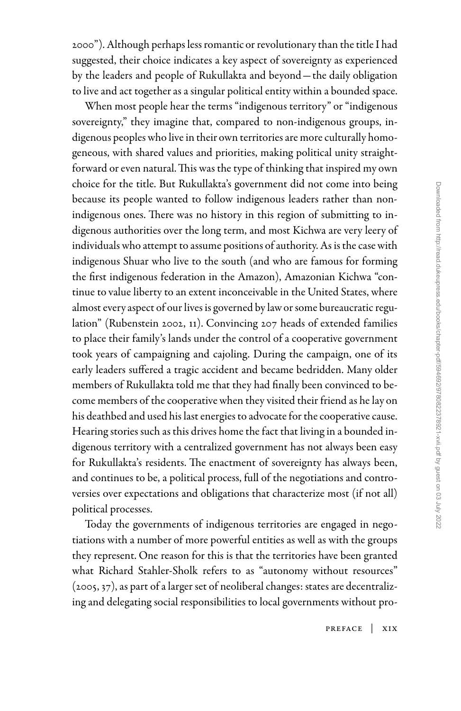2000"). Although perhaps less romantic or revolutionary than the title I had suggested, their choice indicates a key aspect of sovereignty as experienced by the leaders and people of Rukullakta and beyond—the daily obligation to live and act together as a singular political entity within a bounded space.

When most people hear the terms "indigenous territory" or "indigenous sovereignty," they imagine that, compared to non-indigenous groups, indigenous peoples who live in their own territories are more culturally homogeneous, with shared values and priorities, making political unity straightforward or even natural. This was the type of thinking that inspired my own choice for the title. But Rukullakta's government did not come into being because its people wanted to follow indigenous leaders rather than nonindigenous ones. There was no history in this region of submitting to indigenous authorities over the long term, and most Kichwa are very leery of individuals who attempt to assume positions of authority. As is the case with indigenous Shuar who live to the south (and who are famous for forming the first indigenous federation in the Amazon), Amazonian Kichwa "continue to value liberty to an extent inconceivable in the United States, where almost every aspect of our lives is governed by law or some bureaucratic regulation" (Rubenstein 2002, 11). Convincing 207 heads of extended families to place their family's lands under the control of a cooperative government took years of campaigning and cajoling. During the campaign, one of its early leaders suffered a tragic accident and became bedridden. Many older members of Rukullakta told me that they had finally been convinced to become members of the cooperative when they visited their friend as he lay on his deathbed and used his last energies to advocate for the cooperative cause. Hearing stories such as this drives home the fact that living in a bounded indigenous territory with a centralized government has not always been easy for Rukullakta's residents. The enactment of sovereignty has always been, and continues to be, a political process, full of the negotiations and controversies over expectations and obligations that characterize most (if not all) political processes.

Today the governments of indigenous territories are engaged in negotiations with a number of more powerful entities as well as with the groups they represent. One reason for this is that the territories have been granted what Richard Stahler-Sholk refers to as "autonomy without resources" (2005, 37), as part of a larger set of neoliberal changes: states are decentralizing and delegating social responsibilities to local governments without pro-

preface | xix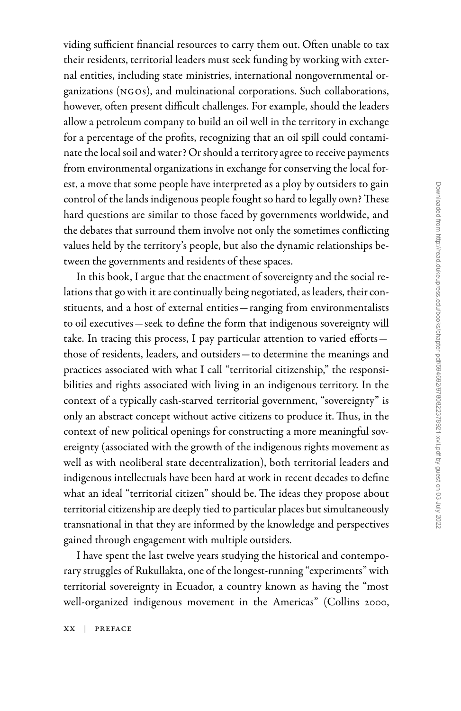viding sufficient financial resources to carry them out. Often unable to tax their residents, territorial leaders must seek funding by working with external entities, including state ministries, international nongovernmental organizations (ngos), and multinational corporations. Such collaborations, however, often present difficult challenges. For example, should the leaders allow a petroleum company to build an oil well in the territory in exchange for a percentage of the profits, recognizing that an oil spill could contaminate the local soil and water? Or should a territory agree to receive payments from environmental organizations in exchange for conserving the local forest, a move that some people have interpreted as a ploy by outsiders to gain control of the lands indigenous people fought so hard to legally own? These hard questions are similar to those faced by governments worldwide, and the debates that surround them involve not only the sometimes conflicting values held by the territory's people, but also the dynamic relationships between the governments and residents of these spaces.

In this book, I argue that the enactment of sovereignty and the social relations that go with it are continually being negotiated, as leaders, their constituents, and a host of external entities—ranging from environmentalists to oil executives—seek to define the form that indigenous sovereignty will take. In tracing this process, I pay particular attention to varied efforts those of residents, leaders, and outsiders—to determine the meanings and practices associated with what I call "territorial citizenship," the responsibilities and rights associated with living in an indigenous territory. In the context of a typically cash-starved territorial government, "sovereignty" is only an abstract concept without active citizens to produce it. Thus, in the context of new political openings for constructing a more meaningful sovereignty (associated with the growth of the indigenous rights movement as well as with neoliberal state decentralization), both territorial leaders and indigenous intellectuals have been hard at work in recent decades to define what an ideal "territorial citizen" should be. The ideas they propose about territorial citizenship are deeply tied to particular places but simultaneously transnational in that they are informed by the knowledge and perspectives gained through engagement with multiple outsiders.

I have spent the last twelve years studying the historical and contemporary struggles of Rukullakta, one of the longest-running "experiments" with territorial sovereignty in Ecuador, a country known as having the "most well-organized indigenous movement in the Americas" (Collins 2000,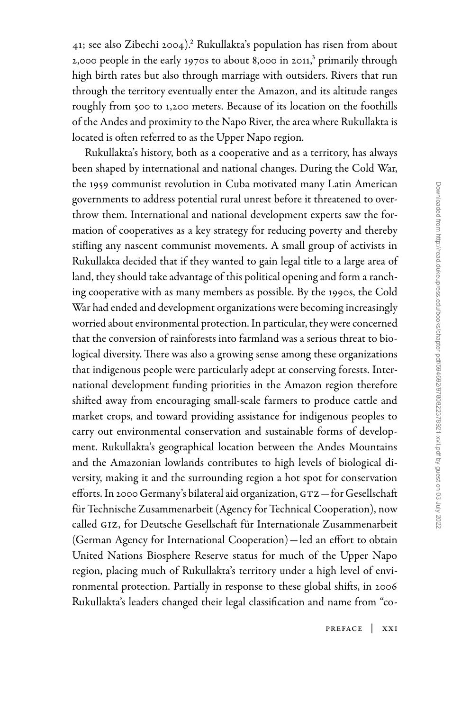41; see also Zibechi 2004).2 Rukullakta's population has risen from about 2,000 people in the early 1970s to about 8,000 in 2011,<sup>3</sup> primarily through high birth rates but also through marriage with outsiders. Rivers that run through the territory eventually enter the Amazon, and its altitude ranges roughly from 500 to 1,200 meters. Because of its location on the foothills of the Andes and proximity to the Napo River, the area where Rukullakta is located is often referred to as the Upper Napo region.

Rukullakta's history, both as a cooperative and as a territory, has always been shaped by international and national changes. During the Cold War, the 1959 communist revolution in Cuba motivated many Latin American governments to address potential rural unrest before it threatened to overthrow them. International and national development experts saw the formation of cooperatives as a key strategy for reducing poverty and thereby stifling any nascent communist movements. A small group of activists in Rukullakta decided that if they wanted to gain legal title to a large area of land, they should take advantage of this political opening and form a ranching cooperative with as many members as possible. By the 1990s, the Cold War had ended and development organizations were becoming increasingly worried about environmental protection. In particular, they were concerned that the conversion of rainforests into farmland was a serious threat to biological diversity. There was also a growing sense among these organizations that indigenous people were particularly adept at conserving forests. International development funding priorities in the Amazon region therefore shifted away from encouraging small-scale farmers to produce cattle and market crops, and toward providing assistance for indigenous peoples to carry out environmental conservation and sustainable forms of development. Rukullakta's geographical location between the Andes Mountains and the Amazonian lowlands contributes to high levels of biological diversity, making it and the surrounding region a hot spot for conservation efforts. In 2000 Germany's bilateral aid organization, GTZ-for Gesellschaft für Technische Zusammenarbeit (Agency for Technical Cooperation), now called giz, for Deutsche Gesellschaft für Internationale Zusammenarbeit (German Agency for International Cooperation)—led an effort to obtain United Nations Biosphere Reserve status for much of the Upper Napo region, placing much of Rukullakta's territory under a high level of environmental protection. Partially in response to these global shifts, in 2006 Rukullakta's leaders changed their legal classification and name from "co-

preface | xxi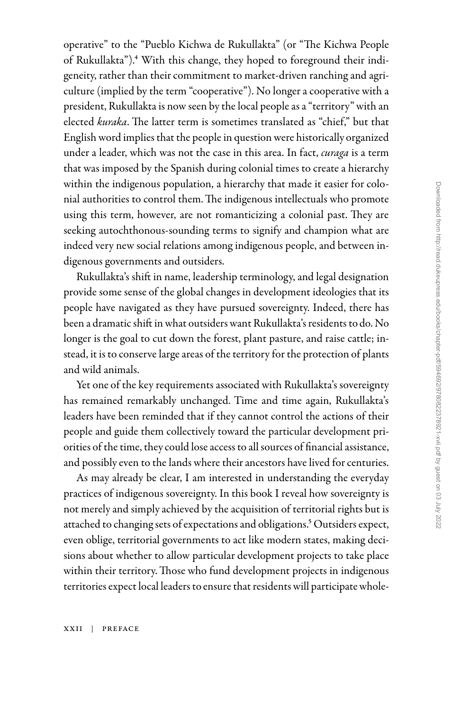operative" to the "Pueblo Kichwa de Rukullakta" (or "The Kichwa People of Rukullakta").<sup>4</sup> With this change, they hoped to foreground their indigeneity, rather than their commitment to market-driven ranching and agriculture (implied by the term "cooperative"). No longer a cooperative with a president, Rukullakta is now seen by the local people as a "territory" with an elected *kuraka*. The latter term is sometimes translated as "chief," but that English word implies that the people in question were historically organized under a leader, which was not the case in this area. In fact, *curaga* is a term that was imposed by the Spanish during colonial times to create a hierarchy within the indigenous population, a hierarchy that made it easier for colonial authorities to control them. The indigenous intellectuals who promote using this term, however, are not romanticizing a colonial past. They are seeking autochthonous-sounding terms to signify and champion what are indeed very new social relations among indigenous people, and between indigenous governments and outsiders.

Rukullakta's shift in name, leadership terminology, and legal designation provide some sense of the global changes in development ideologies that its people have navigated as they have pursued sovereignty. Indeed, there has been a dramatic shift in what outsiders want Rukullakta's residents to do. No longer is the goal to cut down the forest, plant pasture, and raise cattle; instead, it is to conserve large areas of the territory for the protection of plants and wild animals.

Yet one of the key requirements associated with Rukullakta's sovereignty has remained remarkably unchanged. Time and time again, Rukullakta's leaders have been reminded that if they cannot control the actions of their people and guide them collectively toward the particular development priorities of the time, they could lose access to all sources of financial assistance, and possibly even to the lands where their ancestors have lived for centuries.

As may already be clear, I am interested in understanding the everyday practices of indigenous sovereignty. In this book I reveal how sovereignty is not merely and simply achieved by the acquisition of territorial rights but is attached to changing sets of expectations and obligations.<sup>5</sup> Outsiders expect, even oblige, territorial governments to act like modern states, making decisions about whether to allow particular development projects to take place within their territory. Those who fund development projects in indigenous territories expect local leaders to ensure that residents will participate whole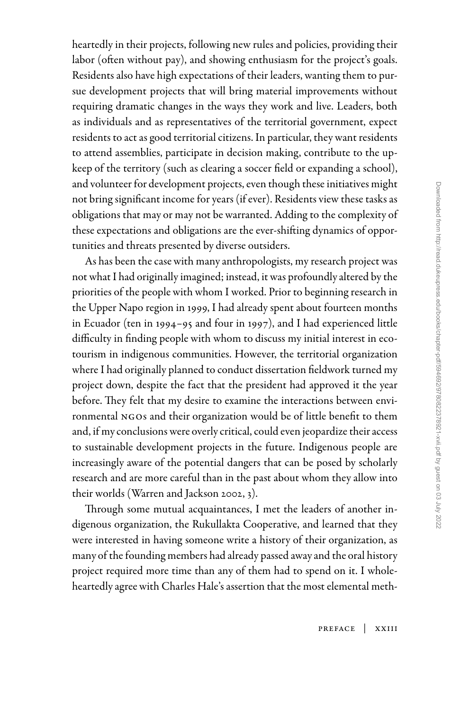heartedly in their projects, following new rules and policies, providing their labor (often without pay), and showing enthusiasm for the project's goals. Residents also have high expectations of their leaders, wanting them to pursue development projects that will bring material improvements without requiring dramatic changes in the ways they work and live. Leaders, both as individuals and as representatives of the territorial government, expect residents to act as good territorial citizens. In particular, they want residents to attend assemblies, participate in decision making, contribute to the upkeep of the territory (such as clearing a soccer field or expanding a school), and volunteer for development projects, even though these initiatives might not bring significant income for years (if ever). Residents view these tasks as obligations that may or may not be warranted. Adding to the complexity of these expectations and obligations are the ever-shifting dynamics of opportunities and threats presented by diverse outsiders.

As has been the case with many anthropologists, my research project was not what I had originally imagined; instead, it was profoundly altered by the priorities of the people with whom I worked. Prior to beginning research in the Upper Napo region in 1999, I had already spent about fourteen months in Ecuador (ten in 1994–95 and four in 1997), and I had experienced little difficulty in finding people with whom to discuss my initial interest in ecotourism in indigenous communities. However, the territorial organization where I had originally planned to conduct dissertation fieldwork turned my project down, despite the fact that the president had approved it the year before. They felt that my desire to examine the interactions between environmental ngos and their organization would be of little benefit to them and, if my conclusions were overly critical, could even jeopardize their access to sustainable development projects in the future. Indigenous people are increasingly aware of the potential dangers that can be posed by scholarly research and are more careful than in the past about whom they allow into their worlds (Warren and Jackson 2002, 3).

Through some mutual acquaintances, I met the leaders of another indigenous organization, the Rukullakta Cooperative, and learned that they were interested in having someone write a history of their organization, as many of the founding members had already passed away and the oral history project required more time than any of them had to spend on it. I wholeheartedly agree with Charles Hale's assertion that the most elemental meth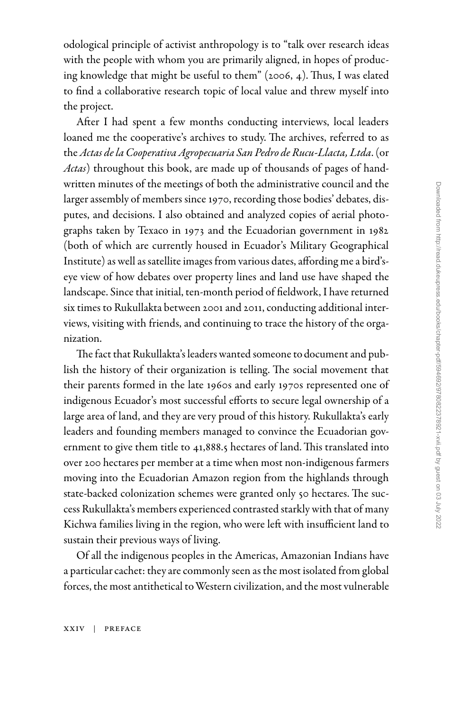odological principle of activist anthropology is to "talk over research ideas with the people with whom you are primarily aligned, in hopes of producing knowledge that might be useful to them" (2006, 4). Thus, I was elated to find a collaborative research topic of local value and threw myself into the project.

After I had spent a few months conducting interviews, local leaders loaned me the cooperative's archives to study. The archives, referred to as the *Actas de la Cooperativa Agropecuaria San Pedro de Rucu-Llacta, Ltda*. (or *Actas*) throughout this book, are made up of thousands of pages of handwritten minutes of the meetings of both the administrative council and the larger assembly of members since 1970, recording those bodies' debates, disputes, and decisions. I also obtained and analyzed copies of aerial photographs taken by Texaco in 1973 and the Ecuadorian government in 1982 (both of which are currently housed in Ecuador's Military Geographical Institute) as well as satellite images from various dates, affording me a bird'seye view of how debates over property lines and land use have shaped the landscape. Since that initial, ten-month period of fieldwork, I have returned six times to Rukullakta between 2001 and 2011, conducting additional interviews, visiting with friends, and continuing to trace the history of the organization.

The fact that Rukullakta's leaders wanted someone to document and publish the history of their organization is telling. The social movement that their parents formed in the late 1960s and early 1970s represented one of indigenous Ecuador's most successful efforts to secure legal ownership of a large area of land, and they are very proud of this history. Rukullakta's early leaders and founding members managed to convince the Ecuadorian government to give them title to 41,888.5 hectares of land. This translated into over 200 hectares per member at a time when most non-indigenous farmers moving into the Ecuadorian Amazon region from the highlands through state-backed colonization schemes were granted only 50 hectares. The success Rukullakta's members experienced contrasted starkly with that of many Kichwa families living in the region, who were left with insufficient land to sustain their previous ways of living.

Of all the indigenous peoples in the Americas, Amazonian Indians have a particular cachet: they are commonly seen as the most isolated from global forces, the most antithetical to Western civilization, and the most vulnerable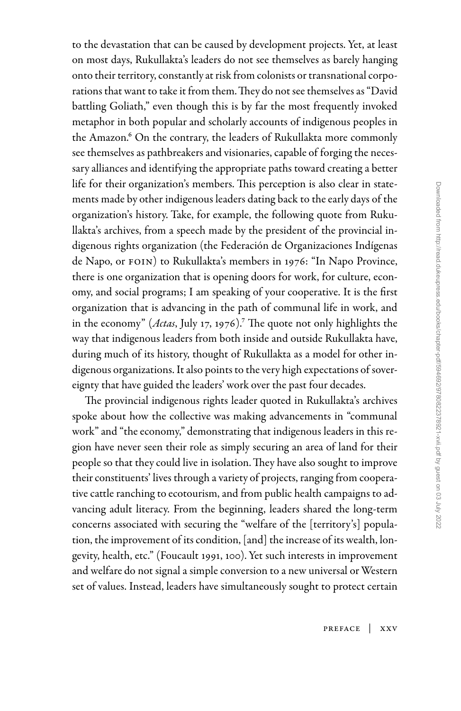to the devastation that can be caused by development projects. Yet, at least on most days, Rukullakta's leaders do not see themselves as barely hanging onto their territory, constantly at risk from colonists or transnational corporations that want to take it from them. They do not see themselves as "David battling Goliath," even though this is by far the most frequently invoked metaphor in both popular and scholarly accounts of indigenous peoples in the Amazon.<sup>6</sup> On the contrary, the leaders of Rukullakta more commonly see themselves as pathbreakers and visionaries, capable of forging the necessary alliances and identifying the appropriate paths toward creating a better life for their organization's members. This perception is also clear in statements made by other indigenous leaders dating back to the early days of the organization's history. Take, for example, the following quote from Rukullakta's archives, from a speech made by the president of the provincial indigenous rights organization (the Federación de Organizaciones Indígenas de Napo, or foin) to Rukullakta's members in 1976: "In Napo Province, there is one organization that is opening doors for work, for culture, economy, and social programs; I am speaking of your cooperative. It is the first organization that is advancing in the path of communal life in work, and in the economy" (*Actas*, July 17, 1976).7 The quote not only highlights the way that indigenous leaders from both inside and outside Rukullakta have, during much of its history, thought of Rukullakta as a model for other indigenous organizations. It also points to the very high expectations of sovereignty that have guided the leaders' work over the past four decades.

The provincial indigenous rights leader quoted in Rukullakta's archives spoke about how the collective was making advancements in "communal work" and "the economy," demonstrating that indigenous leaders in this region have never seen their role as simply securing an area of land for their people so that they could live in isolation. They have also sought to improve their constituents' lives through a variety of projects, ranging from cooperative cattle ranching to ecotourism, and from public health campaigns to advancing adult literacy. From the beginning, leaders shared the long-term concerns associated with securing the "welfare of the [territory's] population, the improvement of its condition, [and] the increase of its wealth, longevity, health, etc." (Foucault 1991, 100). Yet such interests in improvement and welfare do not signal a simple conversion to a new universal or Western set of values. Instead, leaders have simultaneously sought to protect certain